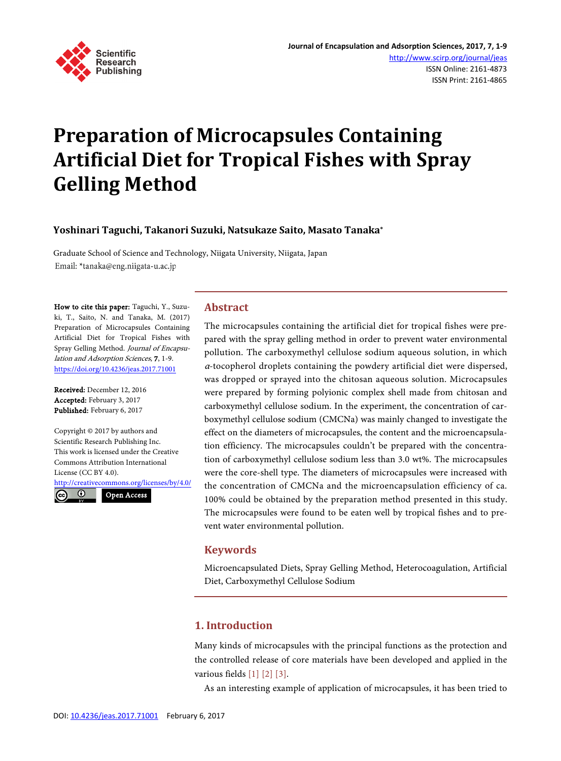

# **Preparation of Microcapsules Containing Artificial Diet for Tropical Fishes with Spray Gelling Method**

## **Yoshinari Taguchi, Takanori Suzuki, Natsukaze Saito, Masato Tanaka\***

Graduate School of Science and Technology, Niigata University, Niigata, Japan Email: \*tanaka@eng.niigata-u.ac.jp

How to cite this paper: Taguchi, Y., Suzuki, T., Saito, N. and Tanaka, M. (2017) Preparation of Microcapsules Containing Artificial Diet for Tropical Fishes with Spray Gelling Method. Journal of Encapsulation and Adsorption Sciences, 7, 1-9. <https://doi.org/10.4236/jeas.2017.71001>

Received: December 12, 2016 Accepted: February 3, 2017 Published: February 6, 2017

Copyright © 2017 by authors and Scientific Research Publishing Inc. This work is licensed under the Creative Commons Attribution International License (CC BY 4.0).

<http://creativecommons.org/licenses/by/4.0/>  $\odot$  $(cc)$ Open Access

# **Abstract**

The microcapsules containing the artificial diet for tropical fishes were prepared with the spray gelling method in order to prevent water environmental pollution. The carboxymethyl cellulose sodium aqueous solution, in which <sup>α</sup>-tocopherol droplets containing the powdery artificial diet were dispersed, was dropped or sprayed into the chitosan aqueous solution. Microcapsules were prepared by forming polyionic complex shell made from chitosan and carboxymethyl cellulose sodium. In the experiment, the concentration of carboxymethyl cellulose sodium (CMCNa) was mainly changed to investigate the effect on the diameters of microcapsules, the content and the microencapsulation efficiency. The microcapsules couldn't be prepared with the concentration of carboxymethyl cellulose sodium less than 3.0 wt%. The microcapsules were the core-shell type. The diameters of microcapsules were increased with the concentration of CMCNa and the microencapsulation efficiency of ca. 100% could be obtained by the preparation method presented in this study. The microcapsules were found to be eaten well by tropical fishes and to prevent water environmental pollution.

## **Keywords**

Microencapsulated Diets, Spray Gelling Method, Heterocoagulation, Artificial Diet, Carboxymethyl Cellulose Sodium

# **1. Introduction**

Many kinds of microcapsules with the principal functions as the protection and the controlled release of core materials have been developed and applied in the various field[s \[1\]](#page-7-0) [\[2\]](#page-8-0) [\[3\].](#page-8-1)

As an interesting example of application of microcapsules, it has been tried to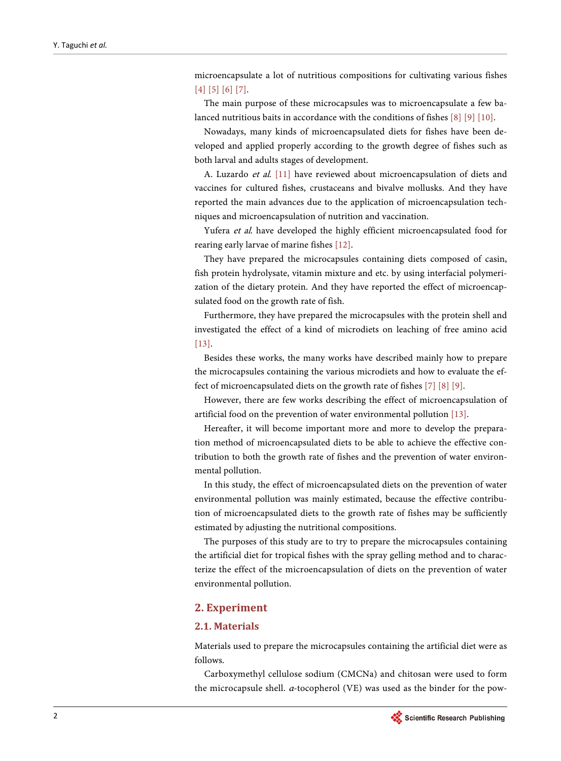microencapsulate a lot of nutritious compositions for cultivating various fishes [\[4\]](#page-8-2) [\[5\]](#page-8-3) [\[6\]](#page-8-4) [\[7\].](#page-8-5)

The main purpose of these microcapsules was to microencapsulate a few balanced nutritious baits in accordance with the conditions of fishes [\[8\]](#page-8-6) [\[9\]](#page-8-7) [\[10\].](#page-8-8)

Nowadays, many kinds of microencapsulated diets for fishes have been developed and applied properly according to the growth degree of fishes such as both larval and adults stages of development.

A. Luzardo et al. [\[11\]](#page-8-9) have reviewed about microencapsulation of diets and vaccines for cultured fishes, crustaceans and bivalve mollusks. And they have reported the main advances due to the application of microencapsulation techniques and microencapsulation of nutrition and vaccination.

Yufera et al. have developed the highly efficient microencapsulated food for rearing early larvae of marine fishe[s \[12\].](#page-8-10)

They have prepared the microcapsules containing diets composed of casin, fish protein hydrolysate, vitamin mixture and etc. by using interfacial polymerization of the dietary protein. And they have reported the effect of microencapsulated food on the growth rate of fish.

Furthermore, they have prepared the microcapsules with the protein shell and investigated the effect of a kind of microdiets on leaching of free amino acid [\[13\].](#page-8-11)

Besides these works, the many works have described mainly how to prepare the microcapsules containing the various microdiets and how to evaluate the effect of microencapsulated diets on the growth rate of fishes [\[7\]](#page-8-5) [\[8\]](#page-8-6) [\[9\].](#page-8-7)

However, there are few works describing the effect of microencapsulation of artificial food on the prevention of water environmental pollution [\[13\].](#page-8-11)

Hereafter, it will become important more and more to develop the preparation method of microencapsulated diets to be able to achieve the effective contribution to both the growth rate of fishes and the prevention of water environmental pollution.

In this study, the effect of microencapsulated diets on the prevention of water environmental pollution was mainly estimated, because the effective contribution of microencapsulated diets to the growth rate of fishes may be sufficiently estimated by adjusting the nutritional compositions.

The purposes of this study are to try to prepare the microcapsules containing the artificial diet for tropical fishes with the spray gelling method and to characterize the effect of the microencapsulation of diets on the prevention of water environmental pollution.

## **2. Experiment**

## **2.1. Materials**

Materials used to prepare the microcapsules containing the artificial diet were as follows.

Carboxymethyl cellulose sodium (CMCNa) and chitosan were used to form the microcapsule shell. <sup>α</sup>-tocopherol (VE) was used as the binder for the pow-

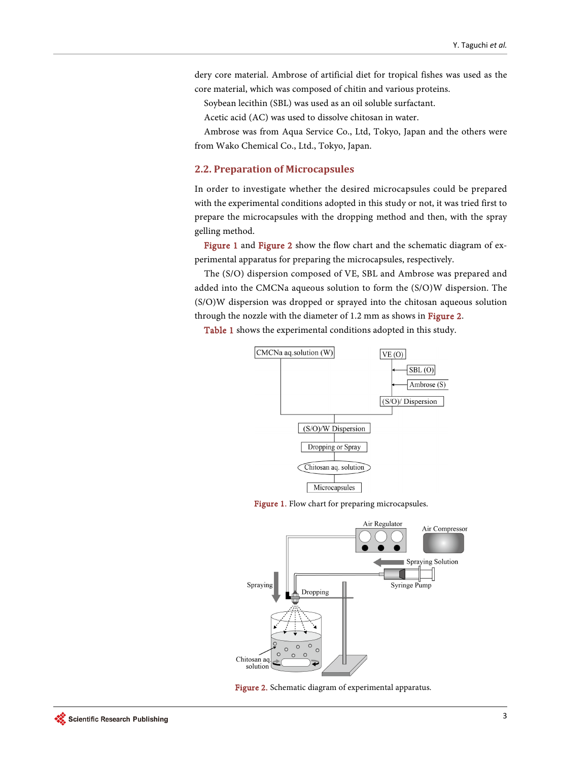dery core material. Ambrose of artificial diet for tropical fishes was used as the core material, which was composed of chitin and various proteins.

Soybean lecithin (SBL) was used as an oil soluble surfactant.

Acetic acid (AC) was used to dissolve chitosan in water.

Ambrose was from Aqua Service Co., Ltd, Tokyo, Japan and the others were from Wako Chemical Co., Ltd., Tokyo, Japan.

## **2.2. Preparation of Microcapsules**

In order to investigate whether the desired microcapsules could be prepared with the experimental conditions adopted in this study or not, it was tried first to prepare the microcapsules with the dropping method and then, with the spray gelling method.

[Figure 1](#page-2-0) and [Figure 2](#page-2-1) show the flow chart and the schematic diagram of experimental apparatus for preparing the microcapsules, respectively.

The (S/O) dispersion composed of VE, SBL and Ambrose was prepared and added into the CMCNa aqueous solution to form the (S/O)W dispersion. The (S/O)W dispersion was dropped or sprayed into the chitosan aqueous solution through the nozzle with the diameter of 1.2 mm as shows in [Figure 2.](#page-2-1)

<span id="page-2-0"></span>[Table 1](#page-3-0) shows the experimental conditions adopted in this study.



Figure 1. Flow chart for preparing microcapsules.

<span id="page-2-1"></span>

Figure 2. Schematic diagram of experimental apparatus.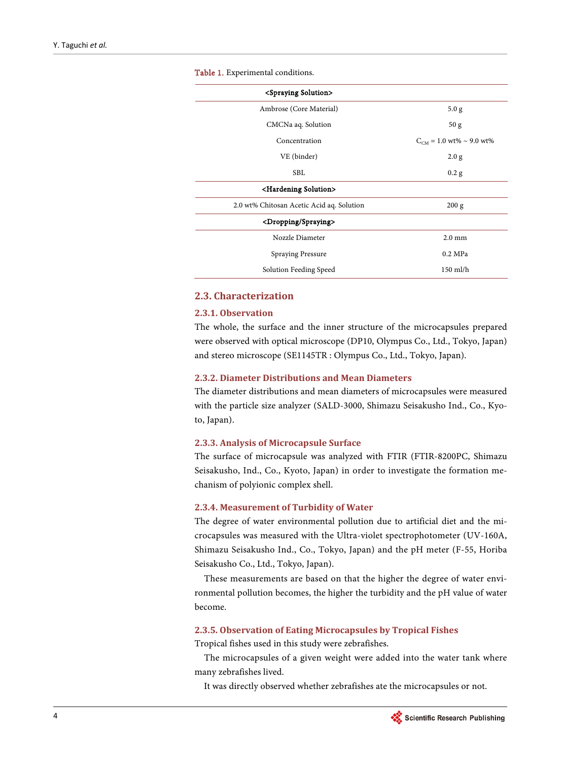<span id="page-3-0"></span>

| <spraying solution=""></spraying>         |                              |
|-------------------------------------------|------------------------------|
| Ambrose (Core Material)                   | 5.0 g                        |
| CMCNa aq. Solution                        | 50 <sub>g</sub>              |
| Concentration                             | $C_{CM} = 1.0$ wt% ~ 9.0 wt% |
| VE (binder)                               | 2.0 g                        |
| <b>SBL</b>                                | 0.2 g                        |
| <hardening solution=""></hardening>       |                              |
| 2.0 wt% Chitosan Acetic Acid aq. Solution | 200 g                        |
| <dropping spraying=""></dropping>         |                              |
| Nozzle Diameter                           | $2.0 \text{ mm}$             |
| <b>Spraying Pressure</b>                  | $0.2 \text{ MPa}$            |
| Solution Feeding Speed                    | $150$ ml/h                   |

Table 1. Experimental conditions.

# **2.3. Characterization**

#### **2.3.1. Observation**

The whole, the surface and the inner structure of the microcapsules prepared were observed with optical microscope (DP10, Olympus Co., Ltd., Tokyo, Japan) and stereo microscope (SE1145TR : Olympus Co., Ltd., Tokyo, Japan).

#### **2.3.2. Diameter Distributions and Mean Diameters**

The diameter distributions and mean diameters of microcapsules were measured with the particle size analyzer (SALD-3000, Shimazu Seisakusho Ind., Co., Kyoto, Japan).

#### **2.3.3. Analysis of Microcapsule Surface**

The surface of microcapsule was analyzed with FTIR (FTIR-8200PC, Shimazu Seisakusho, Ind., Co., Kyoto, Japan) in order to investigate the formation mechanism of polyionic complex shell.

#### **2.3.4. Measurement of Turbidity of Water**

The degree of water environmental pollution due to artificial diet and the microcapsules was measured with the Ultra-violet spectrophotometer (UV-160A, Shimazu Seisakusho Ind., Co., Tokyo, Japan) and the pH meter (F-55, Horiba Seisakusho Co., Ltd., Tokyo, Japan).

These measurements are based on that the higher the degree of water environmental pollution becomes, the higher the turbidity and the pH value of water become.

#### **2.3.5. Observation of Eating Microcapsules by Tropical Fishes**

Tropical fishes used in this study were zebrafishes.

The microcapsules of a given weight were added into the water tank where many zebrafishes lived.

It was directly observed whether zebrafishes ate the microcapsules or not.

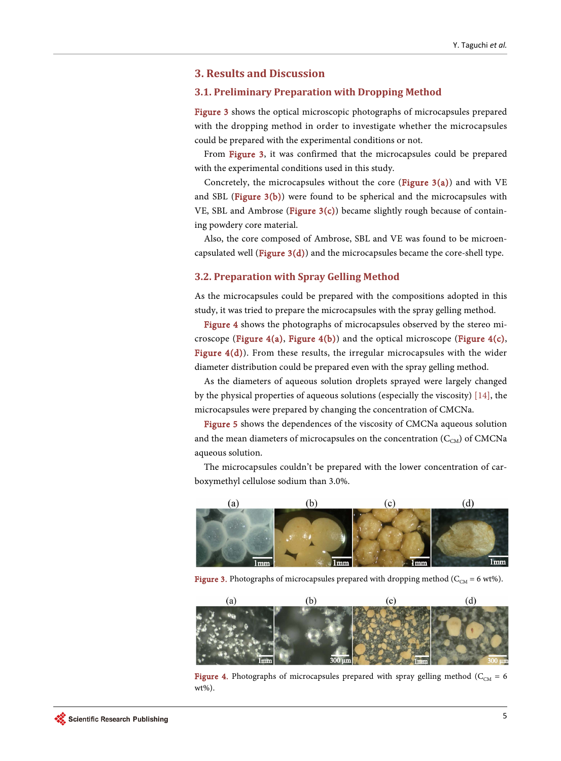## **3. Results and Discussion**

## **3.1. Preliminary Preparation with Dropping Method**

[Figure 3](#page-4-0) shows the optical microscopic photographs of microcapsules prepared with the dropping method in order to investigate whether the microcapsules could be prepared with the experimental conditions or not.

From [Figure 3,](#page-4-0) it was confirmed that the microcapsules could be prepared with the experimental conditions used in this study.

Concretely, the microcapsules without the core (Figure  $3(a)$ ) and with VE and SBL [\(Figure 3\(b\)\)](#page-4-0) were found to be spherical and the microcapsules with VE, SBL and Ambrose [\(Figure 3\(c\)\)](#page-4-0) became slightly rough because of containing powdery core material.

Also, the core composed of Ambrose, SBL and VE was found to be microencapsulated well (Figure  $3(d)$ ) and the microcapsules became the core-shell type.

## **3.2. Preparation with Spray Gelling Method**

As the microcapsules could be prepared with the compositions adopted in this study, it was tried to prepare the microcapsules with the spray gelling method.

[Figure 4](#page-4-1) shows the photographs of microcapsules observed by the stereo mi-croscope [\(Figure 4\(a\), Figure 4\(b\)\)](#page-4-1) and the optical microscope [\(Figure 4\(c\),](#page-4-1) Figure  $4(d)$ ). From these results, the irregular microcapsules with the wider diameter distribution could be prepared even with the spray gelling method.

As the diameters of aqueous solution droplets sprayed were largely changed by the physical properties of aqueous solutions (especially the viscosity) [\[14\],](#page-8-12) the microcapsules were prepared by changing the concentration of CMCNa.

[Figure 5](#page-5-0) shows the dependences of the viscosity of CMCNa aqueous solution and the mean diameters of microcapsules on the concentration  $(C_{CM})$  of CMCNa aqueous solution.

The microcapsules couldn't be prepared with the lower concentration of carboxymethyl cellulose sodium than 3.0%.

<span id="page-4-0"></span>

Figure 3. Photographs of microcapsules prepared with dropping method ( $C_{CM}$  = 6 wt%).

<span id="page-4-1"></span>

Figure 4. Photographs of microcapsules prepared with spray gelling method ( $C_{CM} = 6$ ) wt%).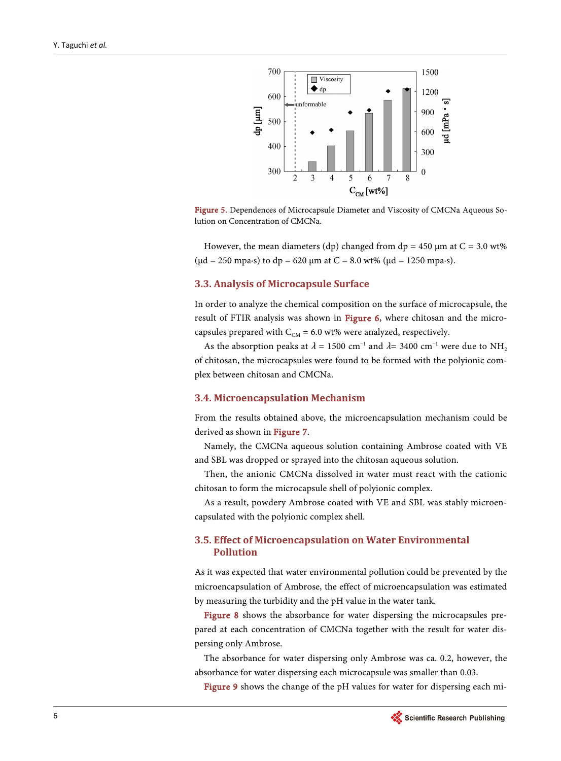<span id="page-5-0"></span>

Figure 5. Dependences of Microcapsule Diameter and Viscosity of CMCNa Aqueous Solution on Concentration of CMCNa.

However, the mean diameters (dp) changed from dp =  $450 \mu m$  at C =  $3.0 \text{ wt\%}$ ( $\mu$ d = 250 mpa⋅s) to dp = 620  $\mu$ m at C = 8.0 wt% ( $\mu$ d = 1250 mpa⋅s).

#### **3.3. Analysis of Microcapsule Surface**

In order to analyze the chemical composition on the surface of microcapsule, the result of FTIR analysis was shown in [Figure 6,](#page-6-0) where chitosan and the microcapsules prepared with  $C_{CM} = 6.0$  wt% were analyzed, respectively.

As the absorption peaks at  $\lambda$  = 1500 cm<sup>-1</sup> and  $\lambda$ = 3400 cm<sup>-1</sup> were due to NH<sub>2</sub> of chitosan, the microcapsules were found to be formed with the polyionic complex between chitosan and CMCNa.

## **3.4. Microencapsulation Mechanism**

From the results obtained above, the microencapsulation mechanism could be derived as shown i[n Figure 7.](#page-6-1)

Namely, the CMCNa aqueous solution containing Ambrose coated with VE and SBL was dropped or sprayed into the chitosan aqueous solution.

Then, the anionic CMCNa dissolved in water must react with the cationic chitosan to form the microcapsule shell of polyionic complex.

As a result, powdery Ambrose coated with VE and SBL was stably microencapsulated with the polyionic complex shell.

## **3.5. Effect of Microencapsulation on Water Environmental Pollution**

As it was expected that water environmental pollution could be prevented by the microencapsulation of Ambrose, the effect of microencapsulation was estimated by measuring the turbidity and the pH value in the water tank.

[Figure 8](#page-6-2) shows the absorbance for water dispersing the microcapsules prepared at each concentration of CMCNa together with the result for water dispersing only Ambrose.

The absorbance for water dispersing only Ambrose was ca. 0.2, however, the absorbance for water dispersing each microcapsule was smaller than 0.03.

[Figure 9](#page-6-3) shows the change of the pH values for water for dispersing each mi-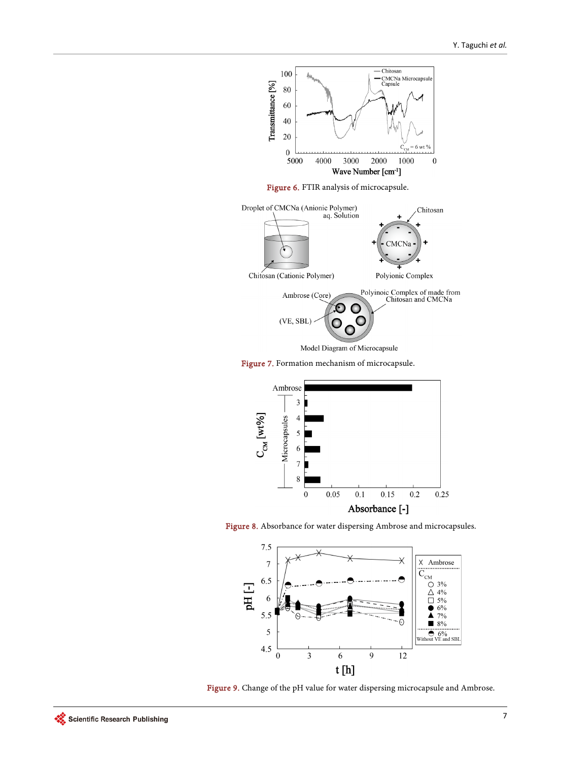<span id="page-6-1"></span><span id="page-6-0"></span>

<span id="page-6-2"></span>Figure 7. Formation mechanism of microcapsule.



<span id="page-6-3"></span>



Figure 9. Change of the pH value for water dispersing microcapsule and Ambrose.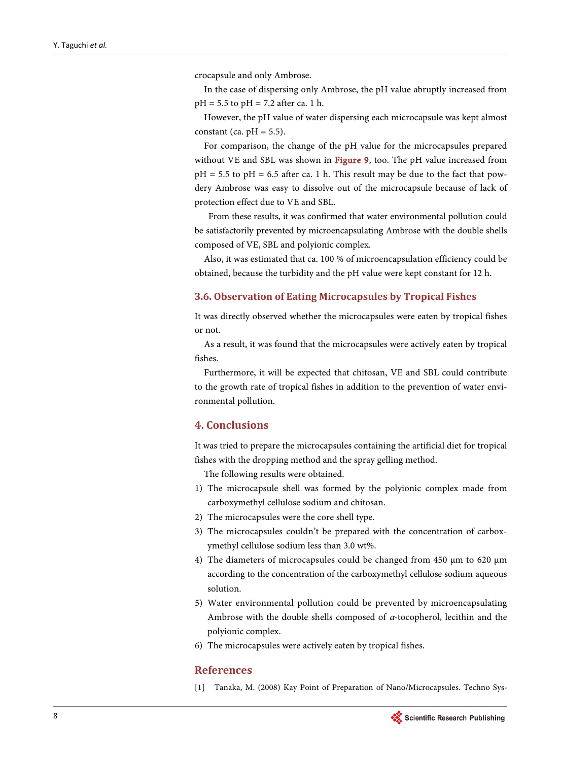crocapsule and only Ambrose.

In the case of dispersing only Ambrose, the pH value abruptly increased from  $pH = 5.5$  to  $pH = 7.2$  after ca. 1 h.

However, the pH value of water dispersing each microcapsule was kept almost constant (ca.  $pH = 5.5$ ).

For comparison, the change of the pH value for the microcapsules prepared without VE and SBL was shown in [Figure 9,](#page-6-3) too. The pH value increased from  $pH = 5.5$  to  $pH = 6.5$  after ca. 1 h. This result may be due to the fact that powdery Ambrose was easy to dissolve out of the microcapsule because of lack of protection effect due to VE and SBL.

From these results, it was confirmed that water environmental pollution could be satisfactorily prevented by microencapsulating Ambrose with the double shells composed of VE, SBL and polyionic complex.

Also, it was estimated that ca. 100 % of microencapsulation efficiency could be obtained, because the turbidity and the pH value were kept constant for 12 h.

## **3.6. Observation of Eating Microcapsules by Tropical Fishes**

It was directly observed whether the microcapsules were eaten by tropical fishes or not.

As a result, it was found that the microcapsules were actively eaten by tropical fishes.

Furthermore, it will be expected that chitosan, VE and SBL could contribute to the growth rate of tropical fishes in addition to the prevention of water environmental pollution.

# **4. Conclusions**

It was tried to prepare the microcapsules containing the artificial diet for tropical fishes with the dropping method and the spray gelling method.

The following results were obtained.

- 1) The microcapsule shell was formed by the polyionic complex made from carboxymethyl cellulose sodium and chitosan.
- 2) The microcapsules were the core shell type.
- 3) The microcapsules couldn't be prepared with the concentration of carboxymethyl cellulose sodium less than 3.0 wt%.
- 4) The diameters of microcapsules could be changed from 450 μm to 620 μm according to the concentration of the carboxymethyl cellulose sodium aqueous solution.
- 5) Water environmental pollution could be prevented by microencapsulating Ambrose with the double shells composed of α-tocopherol, lecithin and the polyionic complex.
- 6) The microcapsules were actively eaten by tropical fishes.

## **References**

<span id="page-7-0"></span>[1] Tanaka, M. (2008) Kay Point of Preparation of Nano/Microcapsules. Techno Sys-